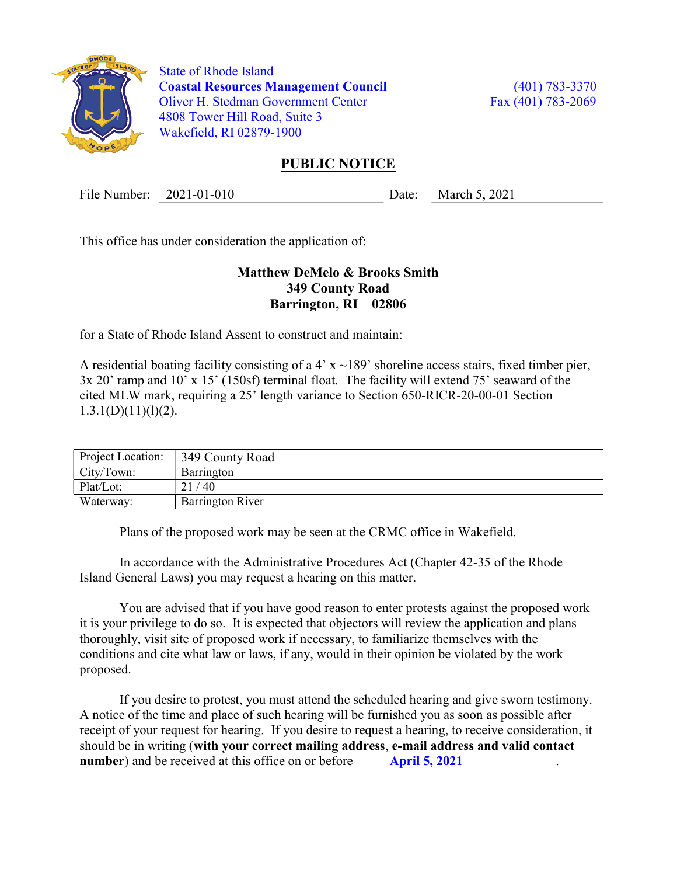

 State of Rhode Island Coastal Resources Management Council (401) 783-3370 Oliver H. Stedman Government Center Fax (401) 783-2069 4808 Tower Hill Road, Suite 3 Wakefield, RI 02879-1900

## PUBLIC NOTICE

File Number: 2021-01-010 Date: March 5, 2021

This office has under consideration the application of:

## Matthew DeMelo & Brooks Smith 349 County Road Barrington, RI 02806

for a State of Rhode Island Assent to construct and maintain:

A residential boating facility consisting of a 4'  $x \sim 189$ ' shoreline access stairs, fixed timber pier, 3x 20' ramp and 10' x 15' (150sf) terminal float. The facility will extend 75' seaward of the cited MLW mark, requiring a 25' length variance to Section 650-RICR-20-00-01 Section  $1.3.1(D)(11)(1)(2)$ .

| Project Location: | 349 County Road         |
|-------------------|-------------------------|
| City/Town:        | Barrington              |
| Plat/Lot:         | $^{\prime}$ 40          |
| Waterway:         | <b>Barrington River</b> |

Plans of the proposed work may be seen at the CRMC office in Wakefield.

In accordance with the Administrative Procedures Act (Chapter 42-35 of the Rhode Island General Laws) you may request a hearing on this matter.

You are advised that if you have good reason to enter protests against the proposed work it is your privilege to do so. It is expected that objectors will review the application and plans thoroughly, visit site of proposed work if necessary, to familiarize themselves with the conditions and cite what law or laws, if any, would in their opinion be violated by the work proposed.

If you desire to protest, you must attend the scheduled hearing and give sworn testimony. A notice of the time and place of such hearing will be furnished you as soon as possible after receipt of your request for hearing. If you desire to request a hearing, to receive consideration, it should be in writing (with your correct mailing address, e-mail address and valid contact number) and be received at this office on or before **April 5, 2021**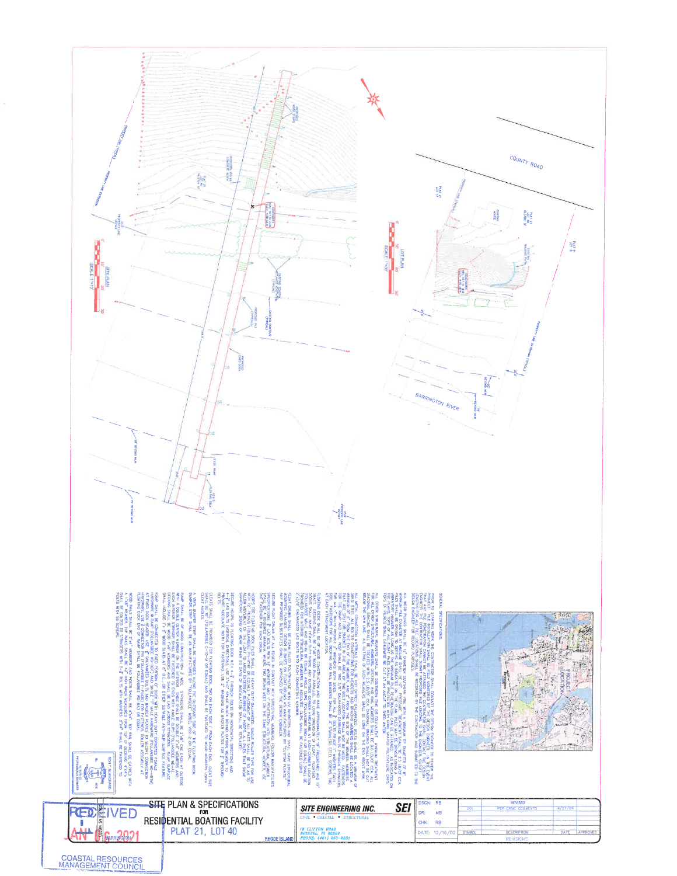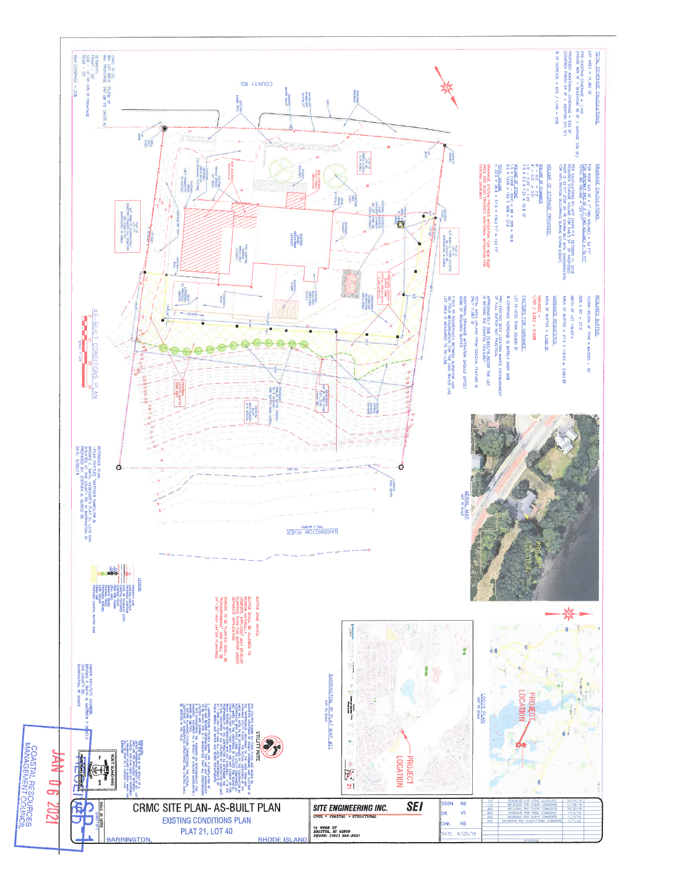